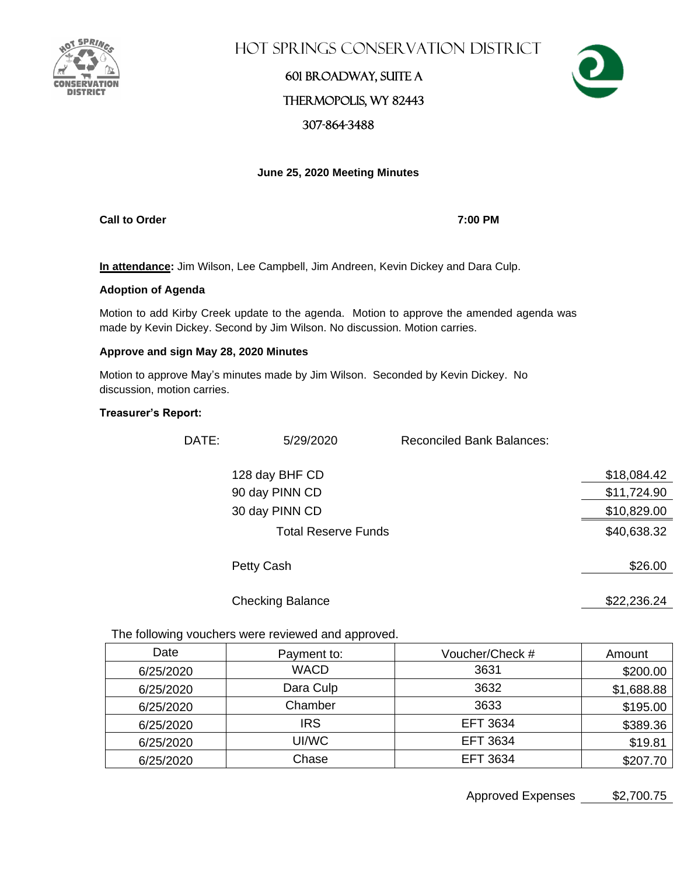

Hot Springs Conservation District

## 601 Broadway, Suite A Thermopolis, WY 82443 307-864-3488



### **June 25, 2020 Meeting Minutes**

**Call to Order 7:00 PM**

**In attendance:** Jim Wilson, Lee Campbell, Jim Andreen, Kevin Dickey and Dara Culp.

#### **Adoption of Agenda**

Motion to add Kirby Creek update to the agenda. Motion to approve the amended agenda was made by Kevin Dickey. Second by Jim Wilson. No discussion. Motion carries.

#### **Approve and sign May 28, 2020 Minutes**

Motion to approve May's minutes made by Jim Wilson. Seconded by Kevin Dickey. No discussion, motion carries.

### **Treasurer's Report:**

| DATE: | 5/29/2020                  | <b>Reconciled Bank Balances:</b> |             |
|-------|----------------------------|----------------------------------|-------------|
|       | 128 day BHF CD             |                                  | \$18,084.42 |
|       | 90 day PINN CD             |                                  | \$11,724.90 |
|       | 30 day PINN CD             |                                  | \$10,829.00 |
|       | <b>Total Reserve Funds</b> |                                  | \$40,638.32 |
|       | Petty Cash                 |                                  | \$26.00     |
|       | <b>Checking Balance</b>    |                                  | \$22,236.24 |

The following vouchers were reviewed and approved.

| Date      | Payment to: | Voucher/Check # | Amount     |
|-----------|-------------|-----------------|------------|
| 6/25/2020 | <b>WACD</b> | 3631            | \$200.00   |
| 6/25/2020 | Dara Culp   | 3632            | \$1,688.88 |
| 6/25/2020 | Chamber     | 3633            | \$195.00   |
| 6/25/2020 | <b>IRS</b>  | EFT 3634        | \$389.36   |
| 6/25/2020 | UI/WC       | <b>EFT 3634</b> | \$19.81    |
| 6/25/2020 | Chase       | <b>EFT 3634</b> | \$207.70   |

Approved Expenses \$2,700.75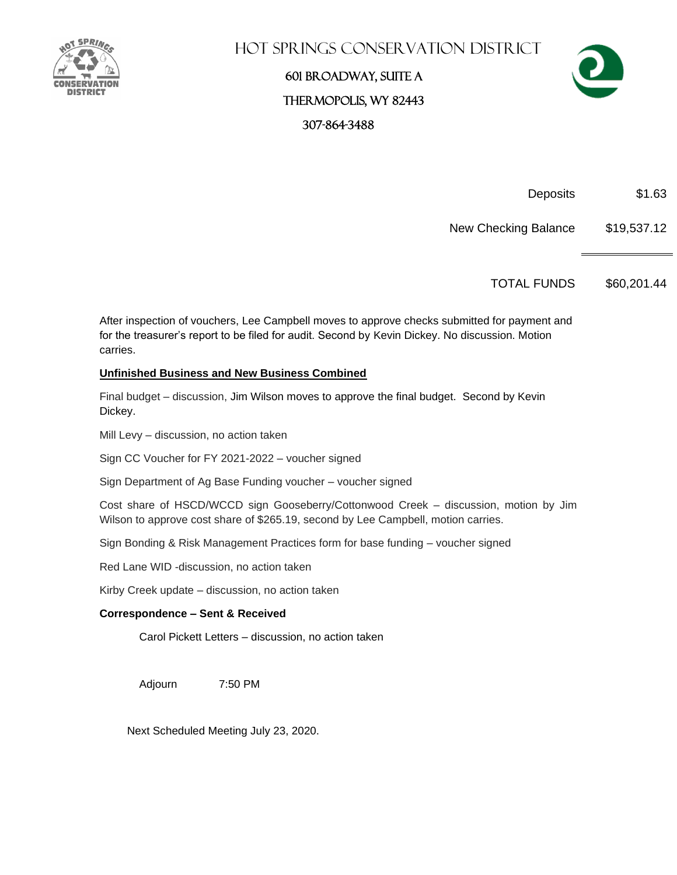

# Hot Springs Conservation District

601 Broadway, Suite A Thermopolis, WY 82443 307-864-3488



Deposits \$1.63

New Checking Balance \$19,537.12

TOTAL FUNDS \$60,201.44

After inspection of vouchers, Lee Campbell moves to approve checks submitted for payment and for the treasurer's report to be filed for audit. Second by Kevin Dickey. No discussion. Motion carries.

### **Unfinished Business and New Business Combined**

Final budget – discussion, Jim Wilson moves to approve the final budget. Second by Kevin Dickey.

Mill Levy – discussion, no action taken

Sign CC Voucher for FY 2021-2022 – voucher signed

Sign Department of Ag Base Funding voucher – voucher signed

Cost share of HSCD/WCCD sign Gooseberry/Cottonwood Creek – discussion, motion by Jim Wilson to approve cost share of \$265.19, second by Lee Campbell, motion carries.

Sign Bonding & Risk Management Practices form for base funding – voucher signed

Red Lane WID -discussion, no action taken

Kirby Creek update – discussion, no action taken

### **Correspondence – Sent & Received**

Carol Pickett Letters – discussion, no action taken

Adjourn 7:50 PM

Next Scheduled Meeting July 23, 2020.